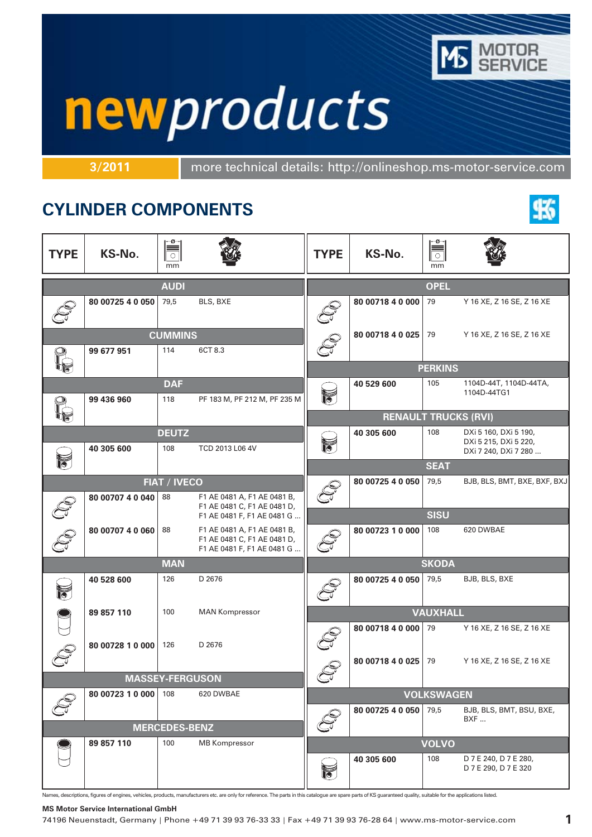

# newproducts

**3/2011** more technical details: http://onlineshop.ms-motor-service.com

## **CYLINDER COMPONENTS**



| <b>TYPE</b>            | KS-No.           | ø<br>mm              |                                                            | <b>TYPE</b>                | KS-No.                      | $\circ$<br>mm     |                                                                        |
|------------------------|------------------|----------------------|------------------------------------------------------------|----------------------------|-----------------------------|-------------------|------------------------------------------------------------------------|
|                        |                  | <b>AUDI</b>          |                                                            |                            |                             | <b>OPEL</b>       |                                                                        |
|                        | 80 00725 4 0 050 | 79,5                 | BLS, BXE                                                   |                            | 80 00718 4 0 000            | 79                | Y 16 XE, Z 16 SE, Z 16 XE                                              |
|                        |                  | <b>CUMMINS</b>       |                                                            |                            | 80 00718 4 0 025            | 79                | Y 16 XE, Z 16 SE, Z 16 XE                                              |
|                        | 99 677 951       | 114                  | 6CT 8.3                                                    |                            |                             | <b>PERKINS</b>    |                                                                        |
|                        |                  | <b>DAF</b>           |                                                            |                            | 40 529 600                  | 105               | 1104D-44T, 1104D-44TA,                                                 |
|                        | 99 436 960       | 118                  | PF 183 M, PF 212 M, PF 235 M                               | $\leqslant$                |                             |                   | 1104D-44TG1                                                            |
|                        |                  |                      |                                                            |                            | <b>RENAULT TRUCKS (RVI)</b> |                   |                                                                        |
|                        | 40 305 600       | <b>DEUTZ</b><br>108  | TCD 2013 L06 4V                                            |                            | 40 305 600                  | 108               | DXi 5 160, DXi 5 190,<br>DXi 5 215, DXi 5 220,<br>DXi 7 240, DXi 7 280 |
| 12                     |                  |                      |                                                            |                            |                             | <b>SEAT</b>       |                                                                        |
|                        |                  | <b>FIAT / IVECO</b>  |                                                            |                            | 80 00725 4 0 050            | 79,5              | BJB, BLS, BMT, BXE, BXF, BXJ                                           |
|                        | 80 00707 4 0 040 | 88                   | F1 AE 0481 A, F1 AE 0481 B,<br>F1 AE 0481 C, F1 AE 0481 D, |                            |                             | <b>SISU</b>       |                                                                        |
|                        | 80 00707 4 0 060 | 88                   | F1 AE 0481 F, F1 AE 0481 G<br>F1 AE 0481 A, F1 AE 0481 B,  |                            | 80 00723 1 0 000            | 108               | 620 DWBAE                                                              |
|                        |                  |                      | F1 AE 0481 C, F1 AE 0481 D,<br>F1 AE 0481 F, F1 AE 0481 G  |                            |                             |                   |                                                                        |
|                        |                  | <b>MAN</b>           |                                                            |                            |                             | <b>SKODA</b>      |                                                                        |
| $\breve{\vec{b}}$      | 40 528 600       | 126                  | D 2676                                                     |                            | 80 00725 4 0 050            | 79,5              | BJB, BLS, BXE                                                          |
|                        | 89 857 110       | 100                  | <b>MAN Kompressor</b>                                      |                            |                             | <b>VAUXHALL</b>   |                                                                        |
|                        | 80 00728 1 0 000 | 126                  | D 2676                                                     |                            | 80 00718 4 0 000            | 79                | Y 16 XE, Z 16 SE, Z 16 XE                                              |
|                        |                  |                      |                                                            | ڪ                          | 80 00718 4 0 025            | 79                | Y 16 XE, Z 16 SE, Z 16 XE                                              |
| <b>MASSEY-FERGUSON</b> |                  |                      |                                                            | $\mathbb{C}^{\mathcal{J}}$ |                             |                   |                                                                        |
|                        | 80 00723 1 0 000 | 108                  | 620 DWBAE                                                  |                            |                             | <b>VOLKSWAGEN</b> |                                                                        |
|                        |                  | <b>MERCEDES-BENZ</b> |                                                            |                            | 80 00725 4 0 050            | 79,5              | BJB, BLS, BMT, BSU, BXE,<br>BXF                                        |
|                        | 89 857 110       | 100                  | <b>MB Kompressor</b>                                       |                            |                             | <b>VOLVO</b>      |                                                                        |
|                        |                  |                      |                                                            | $\geqslant$                | 40 305 600                  | 108               | D 7 E 240, D 7 E 280,<br>D 7 E 290, D 7 E 320                          |

Names, descriptions, figures of engines, vehicles, products, manufacturers etc. are only for reference. The parts in this catalogue are spare parts of KS guaranteed quality, suitable for the applications listed.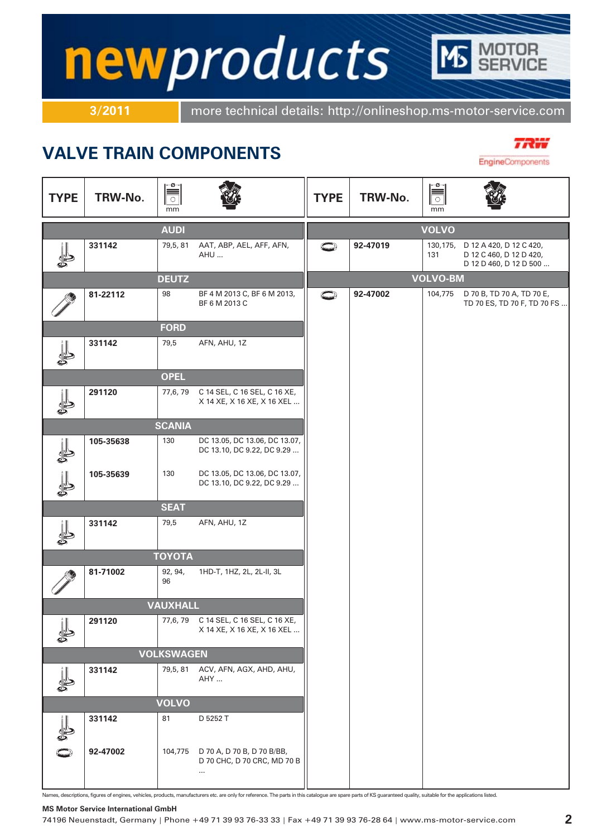# newproducts

**3/2011** more technical details: http://onlineshop.ms-motor-service.com

## **VALVE TRAIN COMPONENTS**



EngineComponents  $\alpha$  $-\alpha$  $\frac{1}{\sqrt{2}}$  $\overline{\overline{\overline{\overline{C}}}}$ **TYPE TYPE TRW-No. TRW-No.** mm mm **AUDI VOLVO331142** 79,5, 81 AAT, ABP, AEL, AFF, AFN, **92-47019** 130,175, D 12 A 420, D 12 C 420, D 12 C 460, D 12 D 420, AHU ... 131 D 12 D 460, D 12 D 500 ... **VOLVO-BM DEUTZ 81-22112** 98 BF 4 M 2013 C, BF 6 M 2013, **92-47002** 104,775 D 70 B, TD 70 A, TD 70 E, O TD 70 ES, TD 70 F, TD 70 FS ... BF 6 M 2013 C **FORD 331142** 79,5 AFN, AHU, 1Z **OPEL 291120** 77,6, 79 C 14 SEL, C 16 SEL, C 16 XE, X 14 XE, X 16 XE, X 16 XEL ... 霏 **SCANIA 105-35638** 130 DC 13.05, DC 13.06, DC 13.07, DC 13.10, DC 9.22, DC 9.29 ... **105-35639** 130 DC 13.05, DC 13.06, DC 13.07, DC 13.10, DC 9.22, DC 9.29 ... **SEAT 331142** 79,5 AFN, AHU, 1Z **TOYOTA 81-71002** 92, 94, 1HD-T, 1HZ, 2L, 2L-II, 3L 96 **VAUXHALL** 291120 77,6, 79 C 14 SEL, C 16 SEL, C 16 XE, X 14 XE, X 16 XE, X 16 XEL ... **VOLKSWAGEN 331142** 79,5, 81 ACV, AFN, AGX, AHD, AHU, AHY ... **VOLVO 331142** 81 D 5252 T **92-47002** 104,775 D 70 A, D 70 B, D 70 B/BB, D 70 CHC, D 70 CRC, MD 70 B

Names, descriptions, figures of engines, vehicles, products, manufacturers etc. are only for reference. The parts in this catalogue are spare parts of KS guaranteed quality, suitable for the applications listed.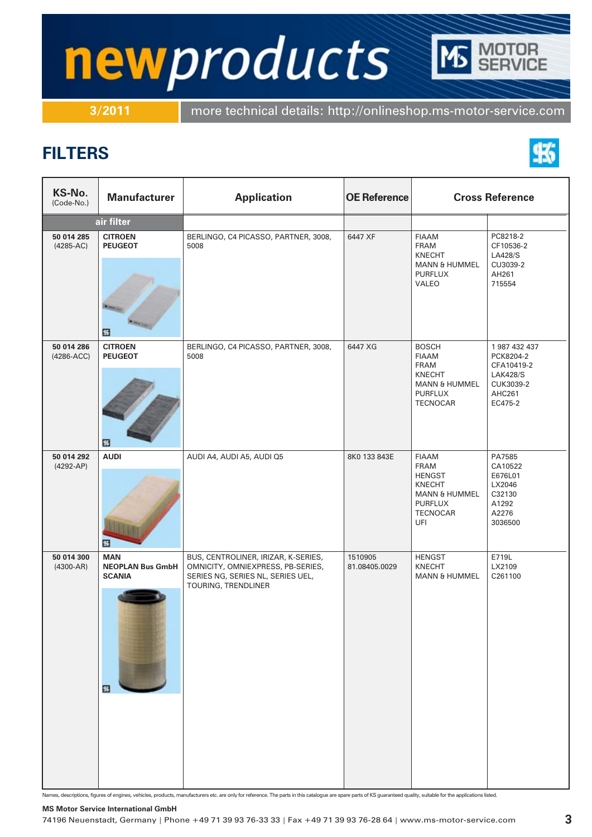# newproducts

**3/2011** more technical details: http://onlineshop.ms-motor-service.com

## **FILTERS**



TOR<br>VICE

| KS-No.<br>(Code-No.)        | <b>Manufacturer</b>                                         | <b>Application</b>                                                                                                                   | <b>OE Reference</b>      | <b>Cross Reference</b>                                                                                                                |                                                                                                      |
|-----------------------------|-------------------------------------------------------------|--------------------------------------------------------------------------------------------------------------------------------------|--------------------------|---------------------------------------------------------------------------------------------------------------------------------------|------------------------------------------------------------------------------------------------------|
|                             | air filter                                                  |                                                                                                                                      |                          |                                                                                                                                       |                                                                                                      |
| 50 014 285<br>$(4285-AC)$   | <b>CITROEN</b><br><b>PEUGEOT</b><br>團                       | BERLINGO, C4 PICASSO, PARTNER, 3008,<br>5008                                                                                         | 6447 XF                  | <b>FIAAM</b><br><b>FRAM</b><br><b>KNECHT</b><br><b>MANN &amp; HUMMEL</b><br><b>PURFLUX</b><br>VALEO                                   | PC8218-2<br>CF10536-2<br><b>LA428/S</b><br>CU3039-2<br>AH261<br>715554                               |
| 50 014 286<br>$(4286-ACC)$  | <b>CITROEN</b><br><b>PEUGEOT</b><br>⊞                       | BERLINGO, C4 PICASSO, PARTNER, 3008,<br>5008                                                                                         | 6447 XG                  | <b>BOSCH</b><br><b>FIAAM</b><br><b>FRAM</b><br><b>KNECHT</b><br><b>MANN &amp; HUMMEL</b><br><b>PURFLUX</b><br><b>TECNOCAR</b>         | 1 987 432 437<br>PCK8204-2<br>CFA10419-2<br><b>LAK428/S</b><br>CUK3039-2<br><b>AHC261</b><br>EC475-2 |
| 50 014 292<br>$(4292-AP)$   | <b>AUDI</b><br>⊞                                            | AUDI A4, AUDI A5, AUDI Q5                                                                                                            | 8K0 133 843E             | <b>FIAAM</b><br><b>FRAM</b><br><b>HENGST</b><br><b>KNECHT</b><br><b>MANN &amp; HUMMEL</b><br><b>PURFLUX</b><br><b>TECNOCAR</b><br>UFI | PA7585<br>CA10522<br>E676L01<br>LX2046<br>C32130<br>A1292<br>A2276<br>3036500                        |
| 50 014 300<br>$(4300 - AR)$ | <b>MAN</b><br><b>NEOPLAN Bus GmbH</b><br><b>SCANIA</b><br>围 | BUS, CENTROLINER, IRIZAR, K-SERIES,<br>OMNICITY, OMNIEXPRESS, PB-SERIES,<br>SERIES NG, SERIES NL, SERIES UEL,<br>TOURING, TRENDLINER | 1510905<br>81.08405.0029 | <b>HENGST</b><br><b>KNECHT</b><br><b>MANN &amp; HUMMEL</b>                                                                            | E719L<br>LX2109<br>C261100                                                                           |

Names, descriptions, figures of engines, vehicles, products, manufacturers etc. are only for reference. The parts in this catalogue are spare parts of KS guaranteed quality, suitable for the applications listed.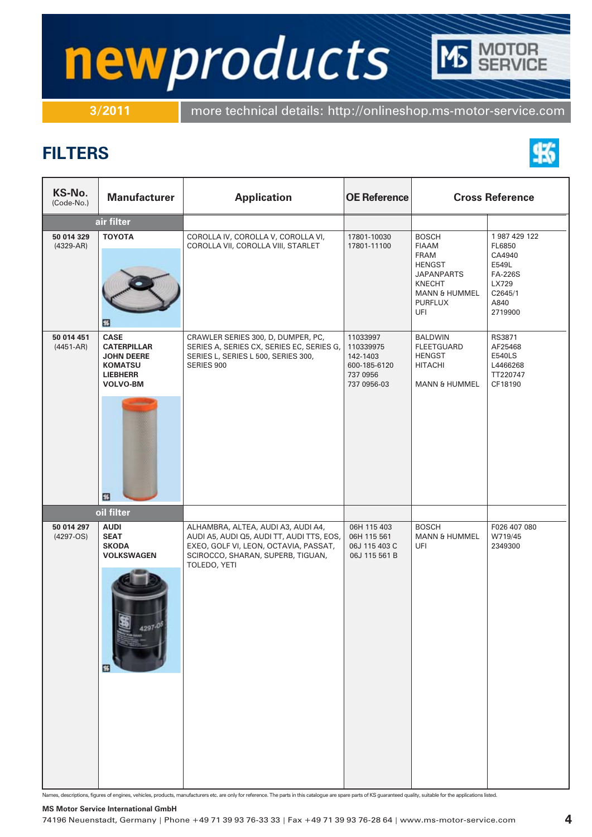# newproducts TOR<br>RVICE

**3/2011** more technical details: http://onlineshop.ms-motor-service.com

## **FILTERS**



| KS-No.<br>(Code-No.)        | <b>Manufacturer</b>                                                                                                 | <b>Application</b>                                                                                                                                                            | <b>OE Reference</b>                                                          | <b>Cross Reference</b>                                                                                                                                  |                                                                                                    |
|-----------------------------|---------------------------------------------------------------------------------------------------------------------|-------------------------------------------------------------------------------------------------------------------------------------------------------------------------------|------------------------------------------------------------------------------|---------------------------------------------------------------------------------------------------------------------------------------------------------|----------------------------------------------------------------------------------------------------|
|                             | air filter                                                                                                          |                                                                                                                                                                               |                                                                              |                                                                                                                                                         |                                                                                                    |
| 50 014 329<br>$(4329-AR)$   | <b>TOYOTA</b><br>□                                                                                                  | COROLLA IV, COROLLA V, COROLLA VI,<br>COROLLA VII, COROLLA VIII, STARLET                                                                                                      | 17801-10030<br>17801-11100                                                   | <b>BOSCH</b><br><b>FIAAM</b><br><b>FRAM</b><br><b>HENGST</b><br><b>JAPANPARTS</b><br><b>KNECHT</b><br><b>MANN &amp; HUMMEL</b><br><b>PURFLUX</b><br>UFI | 1987 429 122<br>FL6850<br>CA4940<br>E549L<br><b>FA-226S</b><br>LX729<br>C2645/1<br>A840<br>2719900 |
| 50 014 451<br>$(4451 - AR)$ | <b>CASE</b><br><b>CATERPILLAR</b><br><b>JOHN DEERE</b><br><b>KOMATSU</b><br><b>LIEBHERR</b><br><b>VOLVO-BM</b><br>⊞ | CRAWLER SERIES 300, D, DUMPER, PC,<br>SERIES A, SERIES CX, SERIES EC, SERIES G,<br>SERIES L, SERIES L 500, SERIES 300,<br>SERIES 900                                          | 11033997<br>110339975<br>142-1403<br>600-185-6120<br>737 0956<br>737 0956-03 | <b>BALDWIN</b><br>FLEETGUARD<br><b>HENGST</b><br><b>HITACHI</b><br><b>MANN &amp; HUMMEL</b>                                                             | RS3871<br>AF25468<br><b>E540LS</b><br>L4466268<br>TT220747<br>CF18190                              |
|                             | oil filter                                                                                                          |                                                                                                                                                                               |                                                                              |                                                                                                                                                         |                                                                                                    |
| 50 014 297<br>$(4297-OS)$   | <b>AUDI</b><br><b>SEAT</b><br><b>SKODA</b><br><b>VOLKSWAGEN</b><br>围                                                | ALHAMBRA, ALTEA, AUDI A3, AUDI A4,<br>AUDI A5, AUDI Q5, AUDI TT, AUDI TTS, EOS,<br>EXEO, GOLF VI, LEON, OCTAVIA, PASSAT,<br>SCIROCCO, SHARAN, SUPERB, TIGUAN,<br>TOLEDO, YETI | 06H 115 403<br>06H 115 561<br>06J 115 403 C<br>06J 115 561 B                 | <b>BOSCH</b><br><b>MANN &amp; HUMMEL</b><br>UFI                                                                                                         | F026 407 080<br>W719/45<br>2349300                                                                 |

Names, descriptions, figures of engines, vehicles, products, manufacturers etc. are only for reference. The parts in this catalogue are spare parts of KS guaranteed quality, suitable for the applications listed.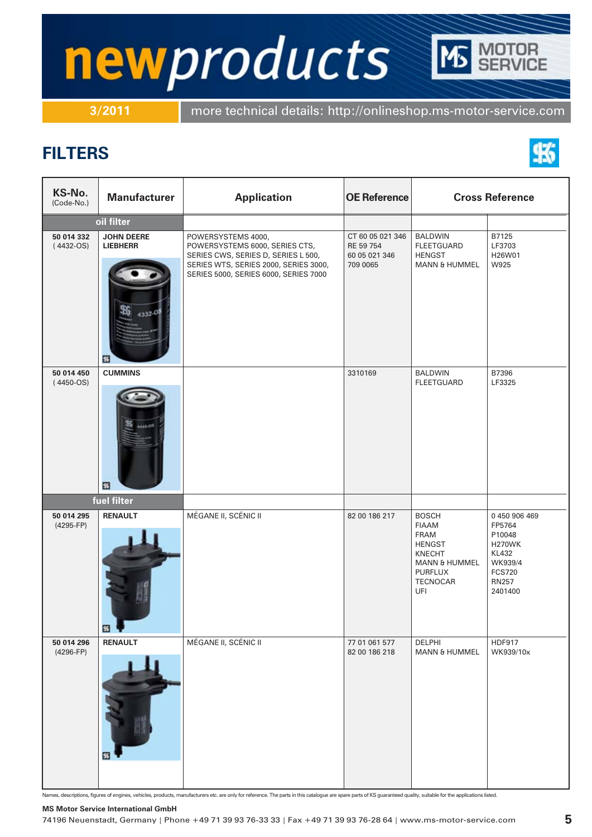# newproducts TOR<br>VICE

**3/2011** more technical details: http://onlineshop.ms-motor-service.com

### **FILTERS**



| KS-No.<br>(Code-No.)      | <b>Manufacturer</b>                       | <b>Application</b>                                                                                                                                                            | <b>OE Reference</b>                                        | <b>Cross Reference</b>                                                                                                                                |                                                                                                                           |
|---------------------------|-------------------------------------------|-------------------------------------------------------------------------------------------------------------------------------------------------------------------------------|------------------------------------------------------------|-------------------------------------------------------------------------------------------------------------------------------------------------------|---------------------------------------------------------------------------------------------------------------------------|
|                           | oil filter                                |                                                                                                                                                                               |                                                            |                                                                                                                                                       |                                                                                                                           |
| 50 014 332<br>$(4432-OS)$ | <b>JOHN DEERE</b><br><b>LIEBHERR</b><br>⊞ | POWERSYSTEMS 4000,<br>POWERSYSTEMS 6000, SERIES CTS,<br>SERIES CWS, SERIES D, SERIES L 500,<br>SERIES WTS, SERIES 2000, SERIES 3000,<br>SERIES 5000, SERIES 6000, SERIES 7000 | CT 60 05 021 346<br>RE 59 754<br>60 05 021 346<br>709 0065 | <b>BALDWIN</b><br><b>FLEETGUARD</b><br><b>HENGST</b><br><b>MANN &amp; HUMMEL</b>                                                                      | B7125<br>LF3703<br>H26W01<br>W925                                                                                         |
| 50 014 450<br>$(4450-OS)$ | <b>CUMMINS</b><br>國                       |                                                                                                                                                                               | 3310169                                                    | <b>BALDWIN</b><br><b>FLEETGUARD</b>                                                                                                                   | B7396<br>LF3325                                                                                                           |
|                           | fuel filter                               |                                                                                                                                                                               |                                                            |                                                                                                                                                       |                                                                                                                           |
| 50 014 295<br>(4295-FP)   | <b>RENAULT</b><br>國                       | MÉGANE II, SCÉNIC II                                                                                                                                                          | 82 00 186 217                                              | <b>BOSCH</b><br><b>FIAAM</b><br><b>FRAM</b><br><b>HENGST</b><br><b>KNECHT</b><br><b>MANN &amp; HUMMEL</b><br><b>PURFLUX</b><br><b>TECNOCAR</b><br>UFI | 0 450 906 469<br>FP5764<br>P10048<br><b>H270WK</b><br><b>KL432</b><br>WK939/4<br><b>FCS720</b><br><b>RN257</b><br>2401400 |
| 50 014 296<br>$(4296-FP)$ | <b>RENAULT</b><br><b>□</b>                | MÉGANE II, SCÉNIC II                                                                                                                                                          | 77 01 061 577<br>82 00 186 218                             | DELPHI<br><b>MANN &amp; HUMMEL</b>                                                                                                                    | <b>HDF917</b><br>WK939/10x                                                                                                |

Names, descriptions, figures of engines, vehicles, products, manufacturers etc. are only for reference. The parts in this catalogue are spare parts of KS guaranteed quality, suitable for the applications listed.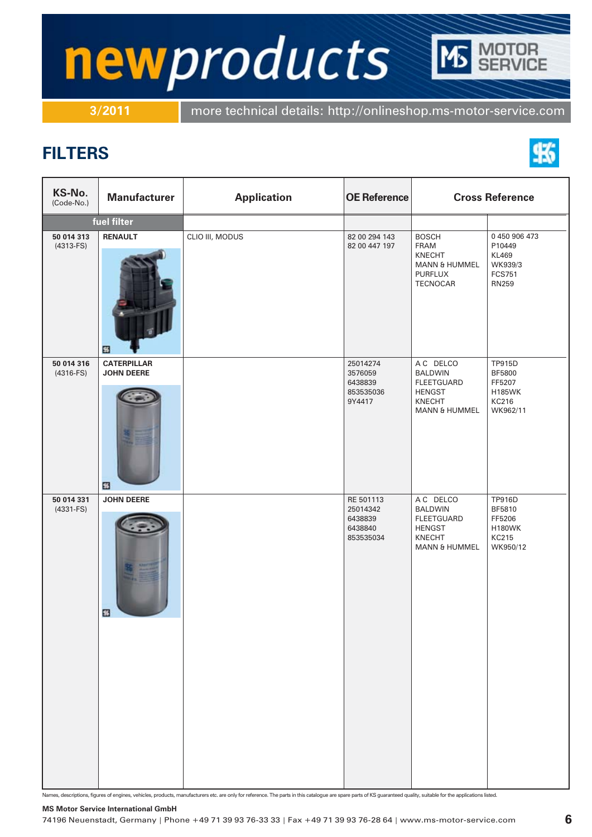# newproducts TOR<br>VICE

**3/2011** more technical details: http://onlineshop.ms-motor-service.com

## **FILTERS**



| KS-No.<br>(Code-No.)      | <b>Manufacturer</b>                          | <b>Application</b> | <b>OE Reference</b>                                      | <b>Cross Reference</b>                                                                                  |                                                                           |
|---------------------------|----------------------------------------------|--------------------|----------------------------------------------------------|---------------------------------------------------------------------------------------------------------|---------------------------------------------------------------------------|
|                           | fuel filter                                  |                    |                                                          |                                                                                                         |                                                                           |
| 50 014 313<br>$(4313-FS)$ | <b>RENAULT</b><br>國                          | CLIO III, MODUS    | 82 00 294 143<br>82 00 447 197                           | <b>BOSCH</b><br>FRAM<br>KNECHT<br><b>MANN &amp; HUMMEL</b><br><b>PURFLUX</b><br><b>TECNOCAR</b>         | 0450906473<br>P10449<br>KL469<br>WK939/3<br><b>FCS751</b><br><b>RN259</b> |
| 50 014 316<br>$(4316-FS)$ | <b>CATERPILLAR</b><br><b>JOHN DEERE</b><br>國 |                    | 25014274<br>3576059<br>6438839<br>853535036<br>9Y4417    | A C DELCO<br><b>BALDWIN</b><br>FLEETGUARD<br><b>HENGST</b><br><b>KNECHT</b><br><b>MANN &amp; HUMMEL</b> | TP915D<br>BF5800<br>FF5207<br><b>H185WK</b><br>KC216<br>WK962/11          |
| 50 014 331<br>$(4331-FS)$ | <b>JOHN DEERE</b><br>國                       |                    | RE 501113<br>25014342<br>6438839<br>6438840<br>853535034 | A C DELCO<br><b>BALDWIN</b><br><b>FLEETGUARD</b><br><b>HENGST</b><br>KNECHT<br><b>MANN &amp; HUMMEL</b> | <b>TP916D</b><br>BF5810<br>FF5206<br><b>H180WK</b><br>KC215<br>WK950/12   |

Names, descriptions, figures of engines, vehicles, products, manufacturers etc. are only for reference. The parts in this catalogue are spare parts of KS guaranteed quality, suitable for the applications listed.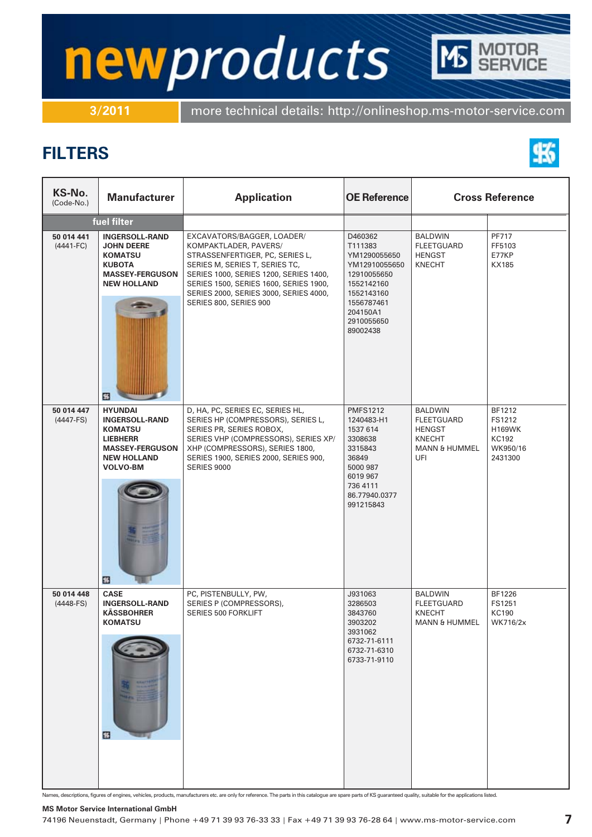# newproducts TOR<br>VICE

**3/2011** more technical details: http://onlineshop.ms-motor-service.com

## **FILTERS**



| KS-No.<br>(Code-No.)        | <b>Manufacturer</b>                                                                                                                                  | <b>Application</b>                                                                                                                                                                                                                                     | <b>OE Reference</b>                                                                                                                        |                                                                                                          | <b>Cross Reference</b>                                            |
|-----------------------------|------------------------------------------------------------------------------------------------------------------------------------------------------|--------------------------------------------------------------------------------------------------------------------------------------------------------------------------------------------------------------------------------------------------------|--------------------------------------------------------------------------------------------------------------------------------------------|----------------------------------------------------------------------------------------------------------|-------------------------------------------------------------------|
|                             | fuel filter                                                                                                                                          |                                                                                                                                                                                                                                                        |                                                                                                                                            |                                                                                                          |                                                                   |
| 50 014 441<br>$(4441 - FC)$ | <b>INGERSOLL-RAND</b><br><b>JOHN DEERE</b><br><b>KOMATSU</b><br><b>KUBOTA</b><br><b>MASSEY-FERGUSON</b><br><b>NEW HOLLAND</b>                        | EXCAVATORS/BAGGER, LOADER/<br>KOMPAKTLADER, PAVERS/<br>STRASSENFERTIGER, PC, SERIES L,<br>SERIES M, SERIES T, SERIES TC,<br>SERIES 1000, SERIES 1200, SERIES 1400,<br>SERIES 1500, SERIES 1600, SERIES 1900,<br>SERIES 2000, SERIES 3000, SERIES 4000, | D460362<br>T111383<br>YM1290055650<br>YM12910055650<br>12910055650<br>1552142160<br>1552143160                                             | <b>BALDWIN</b><br><b>FLEETGUARD</b><br><b>HENGST</b><br><b>KNECHT</b>                                    | PF717<br>FF5103<br>E77KP<br>KX185                                 |
|                             | 國                                                                                                                                                    | SERIES 800, SERIES 900                                                                                                                                                                                                                                 | 1556787461<br>204150A1<br>2910055650<br>89002438                                                                                           |                                                                                                          |                                                                   |
| 50 014 447<br>$(4447-FS)$   | <b>HYUNDAI</b><br><b>INGERSOLL-RAND</b><br><b>KOMATSU</b><br><b>LIEBHERR</b><br><b>MASSEY-FERGUSON</b><br><b>NEW HOLLAND</b><br><b>VOLVO-BM</b><br>國 | D, HA, PC, SERIES EC, SERIES HL,<br>SERIES HP (COMPRESSORS), SERIES L,<br>SERIES PR, SERIES ROBOX,<br>SERIES VHP (COMPRESSORS), SERIES XP/<br>XHP (COMPRESSORS), SERIES 1800,<br>SERIES 1900, SERIES 2000, SERIES 900,<br><b>SERIES 9000</b>           | <b>PMFS1212</b><br>1240483-H1<br>1537 614<br>3308638<br>3315843<br>36849<br>5000 987<br>6019 967<br>736 4111<br>86.77940.0377<br>991215843 | <b>BALDWIN</b><br><b>FLEETGUARD</b><br><b>HENGST</b><br><b>KNECHT</b><br><b>MANN &amp; HUMMEL</b><br>UFI | BF1212<br>FS1212<br><b>H169WK</b><br>KC192<br>WK950/16<br>2431300 |
| 50 014 448<br>$(4448-FS)$   | <b>CASE</b><br><b>INGERSOLL-RAND</b><br><b>KÄSSBOHRER</b><br><b>KOMATSU</b><br>⊞                                                                     | PC, PISTENBULLY, PW,<br>SERIES P (COMPRESSORS),<br><b>SERIES 500 FORKLIFT</b>                                                                                                                                                                          | J931063<br>3286503<br>3843760<br>3903202<br>3931062<br>6732-71-6111<br>6732-71-6310<br>6733-71-9110                                        | <b>BALDWIN</b><br><b>FLEETGUARD</b><br><b>KNECHT</b><br><b>MANN &amp; HUMMEL</b>                         | BF1226<br>FS1251<br><b>KC190</b><br>WK716/2x                      |

Names, descriptions, figures of engines, vehicles, products, manufacturers etc. are only for reference. The parts in this catalogue are spare parts of KS guaranteed quality, suitable for the applications listed.